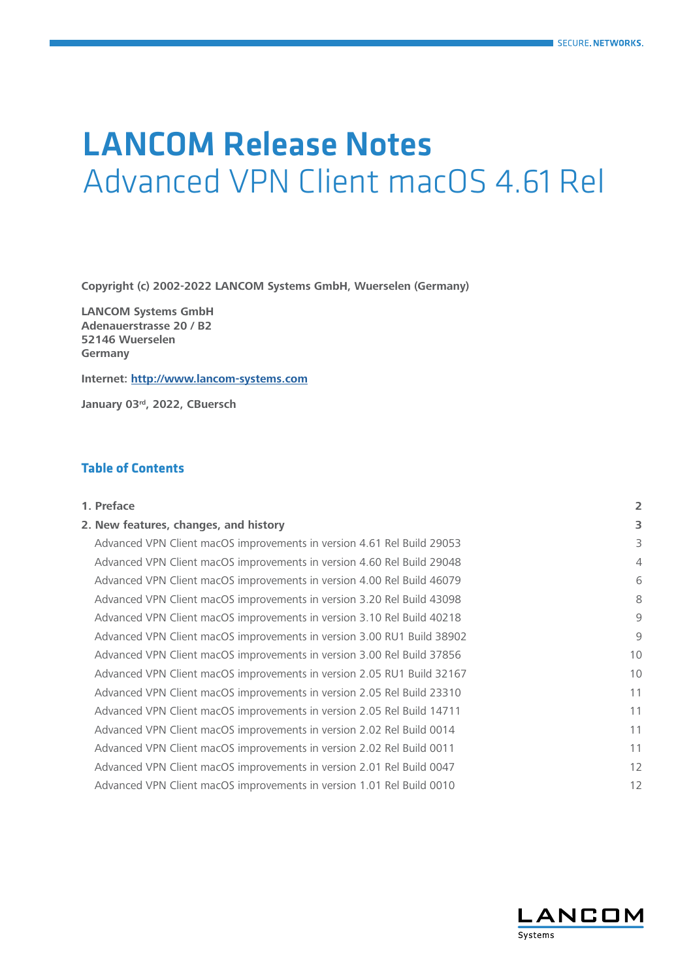# LANCOM Release Notes Advanced VPN Client macOS 4.61 Rel

**Copyright (c) 2002-2022 LANCOM Systems GmbH, Wuerselen (Germany)**

**LANCOM Systems GmbH Adenauerstrasse 20 / B2 52146 Wuerselen Germany**

**Internet: <http://www.lancom-systems.com>**

**January 03rd, 2022, CBuersch**

# **Table of Contents**

| 1. Preface                                                             | $\overline{\mathbf{c}}$ |
|------------------------------------------------------------------------|-------------------------|
| 2. New features, changes, and history                                  | 3                       |
| Advanced VPN Client macOS improvements in version 4.61 Rel Build 29053 | 3                       |
| Advanced VPN Client macOS improvements in version 4.60 Rel Build 29048 | 4                       |
| Advanced VPN Client macOS improvements in version 4.00 Rel Build 46079 | 6                       |
| Advanced VPN Client macOS improvements in version 3.20 Rel Build 43098 | 8                       |
| Advanced VPN Client macOS improvements in version 3.10 Rel Build 40218 | 9                       |
| Advanced VPN Client macOS improvements in version 3.00 RU1 Build 38902 | 9                       |
| Advanced VPN Client macOS improvements in version 3.00 Rel Build 37856 | 10                      |
| Advanced VPN Client macOS improvements in version 2.05 RU1 Build 32167 | 10                      |
| Advanced VPN Client macOS improvements in version 2.05 Rel Build 23310 | 11                      |
| Advanced VPN Client macOS improvements in version 2.05 Rel Build 14711 | 11                      |
| Advanced VPN Client macOS improvements in version 2.02 Rel Build 0014  | 11                      |
| Advanced VPN Client macOS improvements in version 2.02 Rel Build 0011  | 11                      |
| Advanced VPN Client macOS improvements in version 2.01 Rel Build 0047  | 12                      |
| Advanced VPN Client macOS improvements in version 1.01 Rel Build 0010  | 12                      |

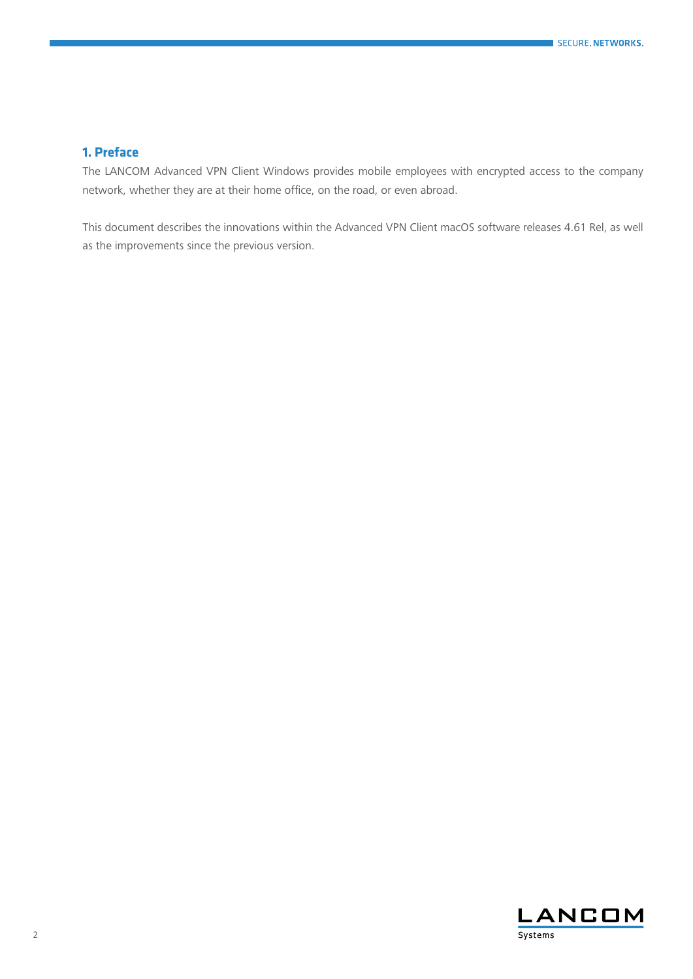# <span id="page-1-0"></span>**1. Preface**

The LANCOM Advanced VPN Client Windows provides mobile employees with encrypted access to the company network, whether they are at their home office, on the road, or even abroad.

This document describes the innovations within the Advanced VPN Client macOS software releases 4.61 Rel, as well as the improvements since the previous version.

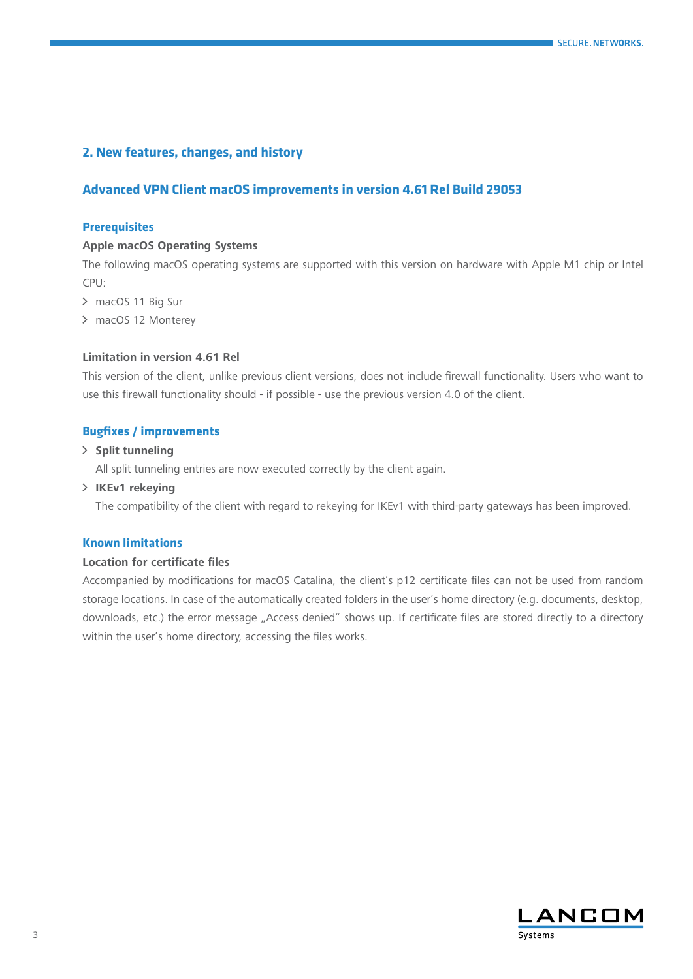# <span id="page-2-0"></span>**2. New features, changes, and history**

# **Advanced VPN Client macOS improvements in version 4.61 Rel Build 29053**

## **Prerequisites**

#### **Apple macOS Operating Systems**

The following macOS operating systems are supported with this version on hardware with Apple M1 chip or Intel CPU:

- > macOS 11 Big Sur
- > macOS 12 Monterey

# **Limitation in version 4.61 Rel**

This version of the client, unlike previous client versions, does not include firewall functionality. Users who want to use this firewall functionality should - if possible - use the previous version 4.0 of the client.

# **Bugfixes / improvements**

## A **Split tunneling**

All split tunneling entries are now executed correctly by the client again.

## > **IKEv1** rekeying

The compatibility of the client with regard to rekeying for IKEv1 with third-party gateways has been improved.

#### **Known limitations**

#### **Location for certificate files**

Accompanied by modifications for macOS Catalina, the client's p12 certificate files can not be used from random storage locations. In case of the automatically created folders in the user's home directory (e.g. documents, desktop, downloads, etc.) the error message "Access denied" shows up. If certificate files are stored directly to a directory within the user's home directory, accessing the files works.

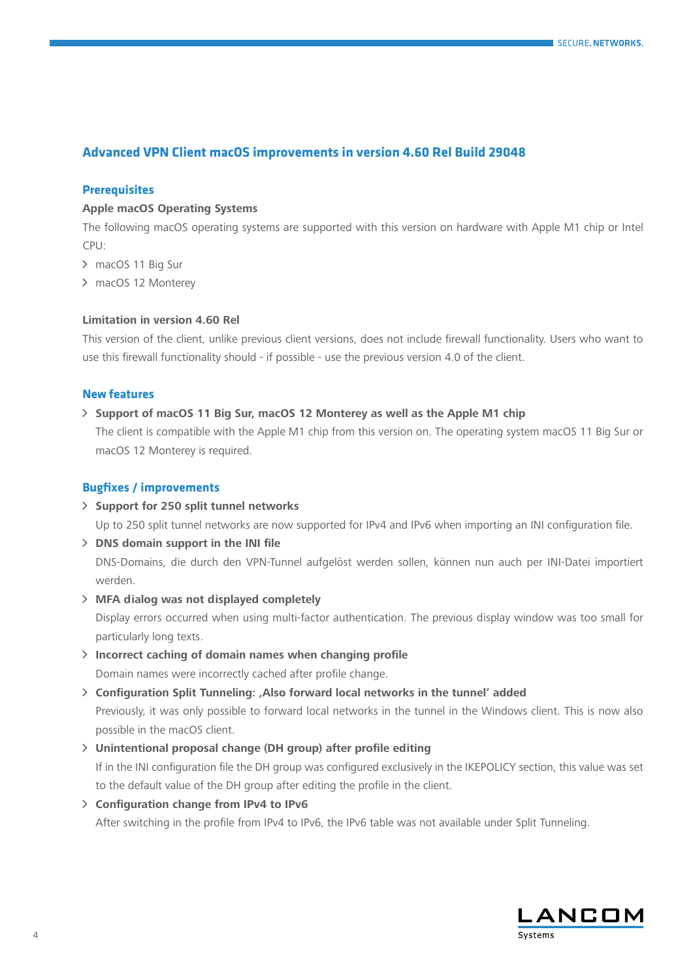# <span id="page-3-0"></span>**Advanced VPN Client macOS improvements in version 4.60 Rel Build 29048**

# **Prerequisites**

## **Apple macOS Operating Systems**

The following macOS operating systems are supported with this version on hardware with Apple M1 chip or Intel CPU:

- > macOS 11 Big Sur
- > macOS 12 Monterey

## **Limitation in version 4.60 Rel**

This version of the client, unlike previous client versions, does not include firewall functionality. Users who want to use this firewall functionality should - if possible - use the previous version 4.0 of the client.

#### **New features**

## A **Support of macOS 11 Big Sur, macOS 12 Monterey as well as the Apple M1 chip**

The client is compatible with the Apple M1 chip from this version on. The operating system macOS 11 Big Sur or macOS 12 Monterey is required.

# **Bugfixes / improvements**

#### A **Support for 250 split tunnel networks**

Up to 250 split tunnel networks are now supported for IPv4 and IPv6 when importing an INI configuration file.

A **DNS domain support in the INI file**

DNS-Domains, die durch den VPN-Tunnel aufgelöst werden sollen, können nun auch per INI-Datei importiert werden.

A **MFA dialog was not displayed completely** 

Display errors occurred when using multi-factor authentication. The previous display window was too small for particularly long texts.

- A **Incorrect caching of domain names when changing profile**  Domain names were incorrectly cached after profile change.
- A **Configuration Split Tunneling: 'Also forward local networks in the tunnel' added**

Previously, it was only possible to forward local networks in the tunnel in the Windows client. This is now also possible in the macOS client.

### A **Unintentional proposal change (DH group) after profile editing**

If in the INI configuration file the DH group was configured exclusively in the IKEPOLICY section, this value was set to the default value of the DH group after editing the profile in the client.

A **Configuration change from IPv4 to IPv6** 

After switching in the profile from IPv4 to IPv6, the IPv6 table was not available under Split Tunneling.

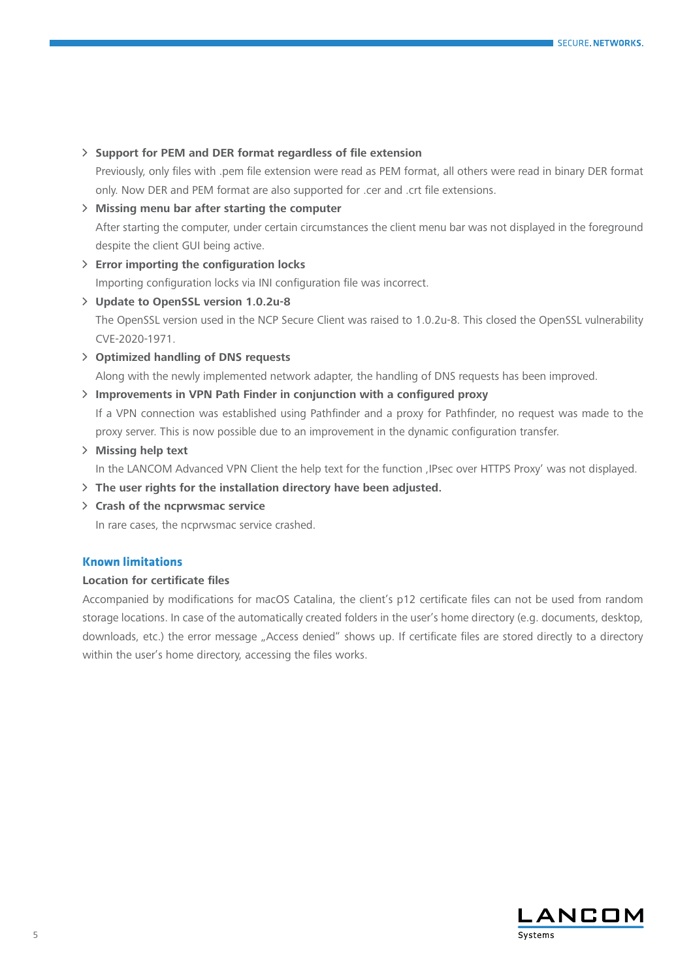## A **Support for PEM and DER format regardless of file extension**

Previously, only files with .pem file extension were read as PEM format, all others were read in binary DER format only. Now DER and PEM format are also supported for .cer and .crt file extensions.

- A **Missing menu bar after starting the computer** After starting the computer, under certain circumstances the client menu bar was not displayed in the foreground despite the client GUI being active.
- A **Error importing the configuration locks**

Importing configuration locks via INI configuration file was incorrect.

# A **Update to OpenSSL version 1.0.2u-8**

The OpenSSL version used in the NCP Secure Client was raised to 1.0.2u-8. This closed the OpenSSL vulnerability CVE-2020-1971.

A **Optimized handling of DNS requests** 

Along with the newly implemented network adapter, the handling of DNS requests has been improved.

# A **Improvements in VPN Path Finder in conjunction with a configured proxy**

If a VPN connection was established using Pathfinder and a proxy for Pathfinder, no request was made to the proxy server. This is now possible due to an improvement in the dynamic configuration transfer.

# A **Missing help text**

In the LANCOM Advanced VPN Client the help text for the function , IPsec over HTTPS Proxy' was not displayed.

# A **The user rights for the installation directory have been adjusted.**

A **Crash of the ncprwsmac service**

In rare cases, the ncprwsmac service crashed.

# **Known limitations**

# **Location for certificate files**

Accompanied by modifications for macOS Catalina, the client's p12 certificate files can not be used from random storage locations. In case of the automatically created folders in the user's home directory (e.g. documents, desktop, downloads, etc.) the error message "Access denied" shows up. If certificate files are stored directly to a directory within the user's home directory, accessing the files works.

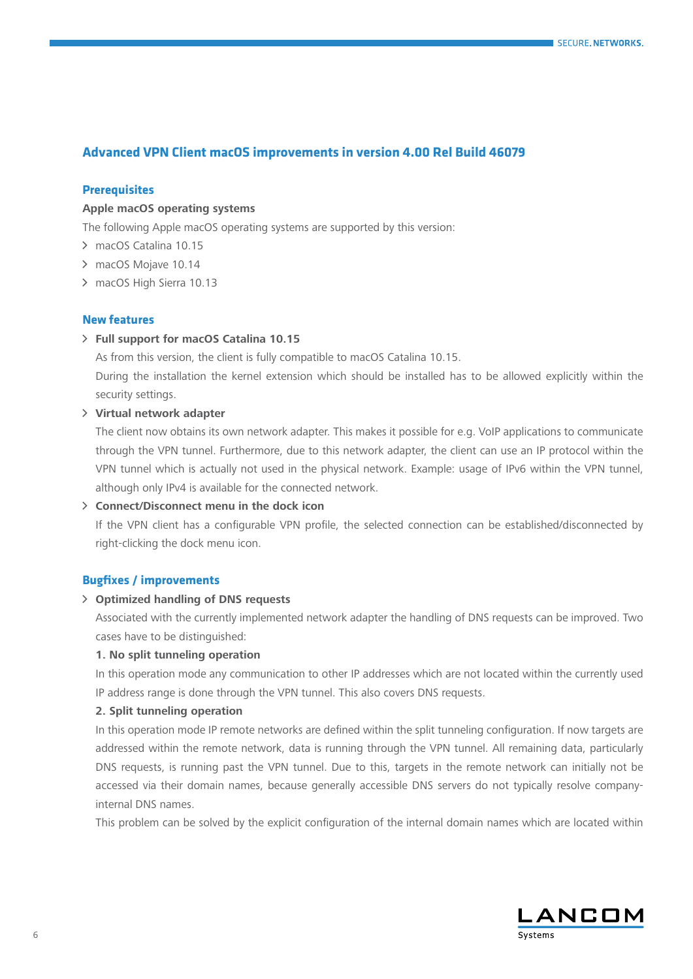# <span id="page-5-0"></span>**Advanced VPN Client macOS improvements in version 4.00 Rel Build 46079**

## **Prerequisites**

## **Apple macOS operating systems**

The following Apple macOS operating systems are supported by this version:

- > macOS Catalina 10.15
- > macOS Mojave 10.14
- > macOS High Sierra 10.13

#### **New features**

#### A **Full support for macOS Catalina 10.15**

As from this version, the client is fully compatible to macOS Catalina 10.15. During the installation the kernel extension which should be installed has to be allowed explicitly within the security settings.

## A **Virtual network adapter**

The client now obtains its own network adapter. This makes it possible for e.g. VoIP applications to communicate through the VPN tunnel. Furthermore, due to this network adapter, the client can use an IP protocol within the VPN tunnel which is actually not used in the physical network. Example: usage of IPv6 within the VPN tunnel, although only IPv4 is available for the connected network.

#### A **Connect/Disconnect menu in the dock icon**

If the VPN client has a configurable VPN profile, the selected connection can be established/disconnected by right-clicking the dock menu icon.

#### **Bugfixes / improvements**

#### A **Optimized handling of DNS requests**

Associated with the currently implemented network adapter the handling of DNS requests can be improved. Two cases have to be distinguished:

## **1. No split tunneling operation**

In this operation mode any communication to other IP addresses which are not located within the currently used IP address range is done through the VPN tunnel. This also covers DNS requests.

## **2. Split tunneling operation**

In this operation mode IP remote networks are defined within the split tunneling configuration. If now targets are addressed within the remote network, data is running through the VPN tunnel. All remaining data, particularly DNS requests, is running past the VPN tunnel. Due to this, targets in the remote network can initially not be accessed via their domain names, because generally accessible DNS servers do not typically resolve companyinternal DNS names.

This problem can be solved by the explicit configuration of the internal domain names which are located within

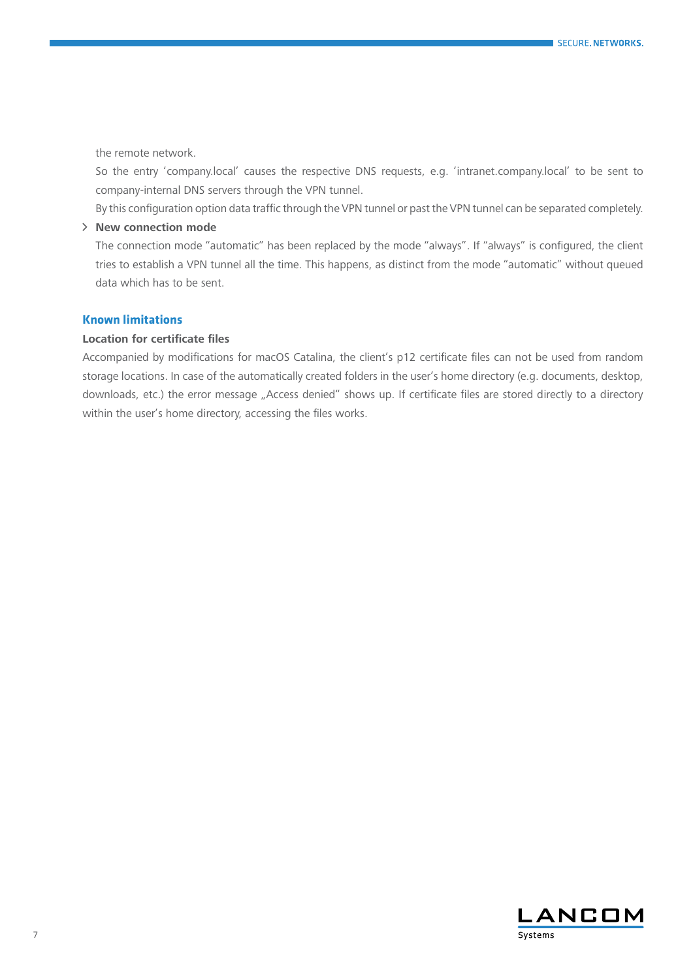the remote network.

So the entry 'company.local' causes the respective DNS requests, e.g. 'intranet.company.local' to be sent to company-internal DNS servers through the VPN tunnel.

By this configuration option data traffic through the VPN tunnel or past the VPN tunnel can be separated completely.

# > **New connection mode**

The connection mode "automatic" has been replaced by the mode "always". If "always" is configured, the client tries to establish a VPN tunnel all the time. This happens, as distinct from the mode "automatic" without queued data which has to be sent.

# **Known limitations**

# **Location for certificate files**

Accompanied by modifications for macOS Catalina, the client's p12 certificate files can not be used from random storage locations. In case of the automatically created folders in the user's home directory (e.g. documents, desktop, downloads, etc.) the error message "Access denied" shows up. If certificate files are stored directly to a directory within the user's home directory, accessing the files works.

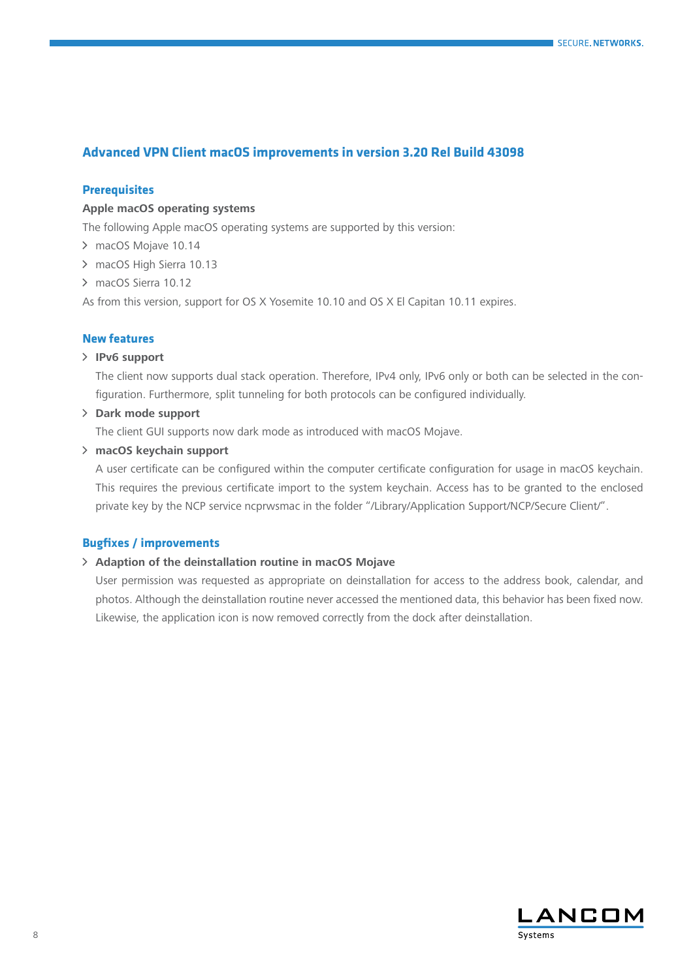# <span id="page-7-0"></span>**Advanced VPN Client macOS improvements in version 3.20 Rel Build 43098**

## **Prerequisites**

## **Apple macOS operating systems**

The following Apple macOS operating systems are supported by this version:

- > macOS Mojave 10.14
- > macOS High Sierra 10.13
- > macOS Sierra 10.12

As from this version, support for OS X Yosemite 10.10 and OS X El Capitan 10.11 expires.

## **New features**

#### A **IPv6 support**

The client now supports dual stack operation. Therefore, IPv4 only, IPv6 only or both can be selected in the configuration. Furthermore, split tunneling for both protocols can be configured individually.

A **Dark mode support**

The client GUI supports now dark mode as introduced with macOS Mojave.

A **macOS keychain support**

A user certificate can be configured within the computer certificate configuration for usage in macOS keychain. This requires the previous certificate import to the system keychain. Access has to be granted to the enclosed private key by the NCP service ncprwsmac in the folder "/Library/Application Support/NCP/Secure Client/".

# **Bugfixes / improvements**

#### A **Adaption of the deinstallation routine in macOS Mojave**

User permission was requested as appropriate on deinstallation for access to the address book, calendar, and photos. Although the deinstallation routine never accessed the mentioned data, this behavior has been fixed now. Likewise, the application icon is now removed correctly from the dock after deinstallation.

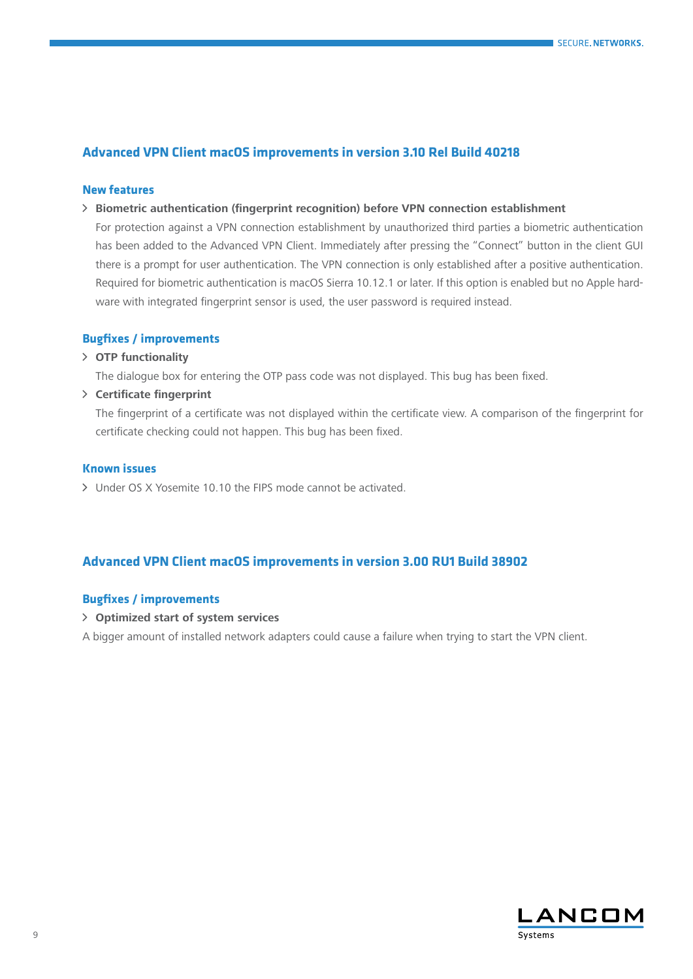# <span id="page-8-0"></span>**Advanced VPN Client macOS improvements in version 3.10 Rel Build 40218**

## **New features**

A **Biometric authentication (fingerprint recognition) before VPN connection establishment**

For protection against a VPN connection establishment by unauthorized third parties a biometric authentication has been added to the Advanced VPN Client. Immediately after pressing the "Connect" button in the client GUI there is a prompt for user authentication. The VPN connection is only established after a positive authentication. Required for biometric authentication is macOS Sierra 10.12.1 or later. If this option is enabled but no Apple hardware with integrated fingerprint sensor is used, the user password is required instead.

# **Bugfixes / improvements**

A **OTP functionality**

The dialogue box for entering the OTP pass code was not displayed. This bug has been fixed.

A **Certificate fingerprint**

The fingerprint of a certificate was not displayed within the certificate view. A comparison of the fingerprint for certificate checking could not happen. This bug has been fixed.

## **Known issues**

A Under OS X Yosemite 10.10 the FIPS mode cannot be activated.

# **Advanced VPN Client macOS improvements in version 3.00 RU1 Build 38902**

# **Bugfixes / improvements**

A **Optimized start of system services**

A bigger amount of installed network adapters could cause a failure when trying to start the VPN client.

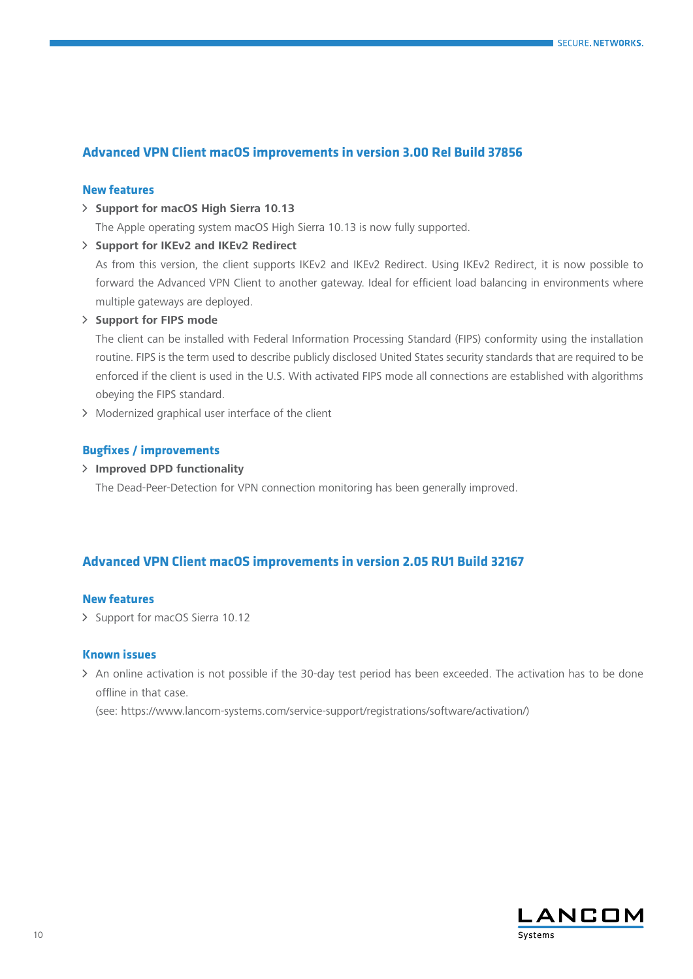# <span id="page-9-0"></span>**Advanced VPN Client macOS improvements in version 3.00 Rel Build 37856**

## **New features**

A **Support for macOS High Sierra 10.13** 

The Apple operating system macOS High Sierra 10.13 is now fully supported.

## A **Support for IKEv2 and IKEv2 Redirect**

As from this version, the client supports IKEv2 and IKEv2 Redirect. Using IKEv2 Redirect, it is now possible to forward the Advanced VPN Client to another gateway. Ideal for efficient load balancing in environments where multiple gateways are deployed.

#### A **Support for FIPS mode**

The client can be installed with Federal Information Processing Standard (FIPS) conformity using the installation routine. FIPS is the term used to describe publicly disclosed United States security standards that are required to be enforced if the client is used in the U.S. With activated FIPS mode all connections are established with algorithms obeying the FIPS standard.

> Modernized graphical user interface of the client

# **Bugfixes / improvements**

A **Improved DPD functionality**

The Dead-Peer-Detection for VPN connection monitoring has been generally improved.

# **Advanced VPN Client macOS improvements in version 2.05 RU1 Build 32167**

## **New features**

> Support for macOS Sierra 10.12

## **Known issues**

A An online activation is not possible if the 30-day test period has been exceeded. The activation has to be done offline in that case.

(see: https://www.lancom-systems.com/service-support/registrations/software/activation/)

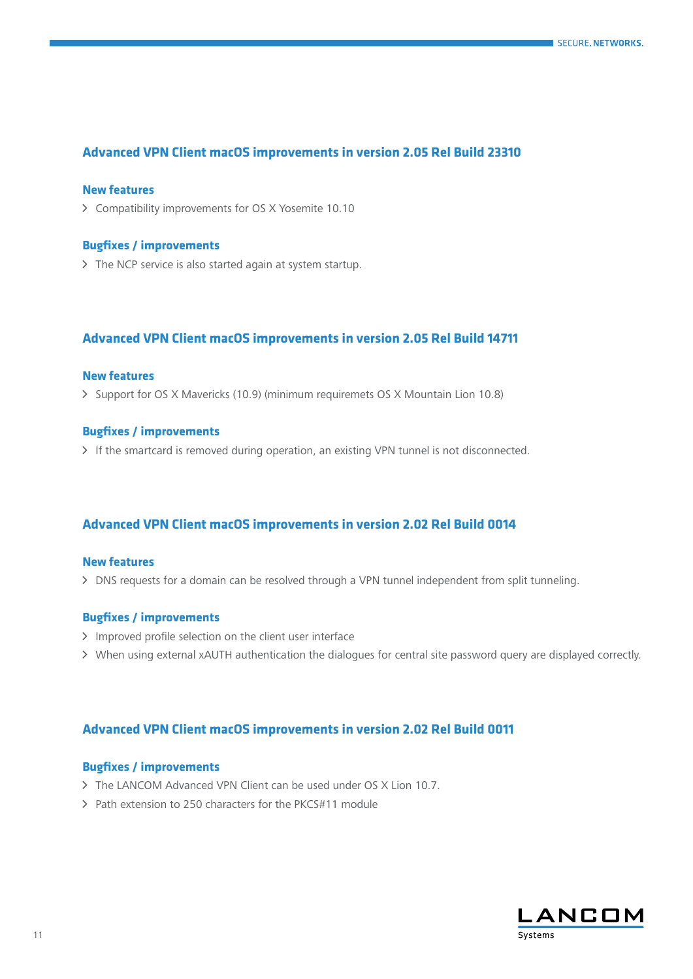# <span id="page-10-0"></span>**Advanced VPN Client macOS improvements in version 2.05 Rel Build 23310**

## **New features**

A Compatibility improvements for OS X Yosemite 10.10

#### **Bugfixes / improvements**

> The NCP service is also started again at system startup.

# **Advanced VPN Client macOS improvements in version 2.05 Rel Build 14711**

## **New features**

A Support for OS X Mavericks (10.9) (minimum requiremets OS X Mountain Lion 10.8)

## **Bugfixes / improvements**

> If the smartcard is removed during operation, an existing VPN tunnel is not disconnected.

# **Advanced VPN Client macOS improvements in version 2.02 Rel Build 0014**

## **New features**

 $\triangleright$  DNS requests for a domain can be resolved through a VPN tunnel independent from split tunneling.

# **Bugfixes / improvements**

- > Improved profile selection on the client user interface
- A When using external xAUTH authentication the dialogues for central site password query are displayed correctly.

# **Advanced VPN Client macOS improvements in version 2.02 Rel Build 0011**

## **Bugfixes / improvements**

- > The LANCOM Advanced VPN Client can be used under OS X Lion 10.7.
- A Path extension to 250 characters for the PKCS#11 module